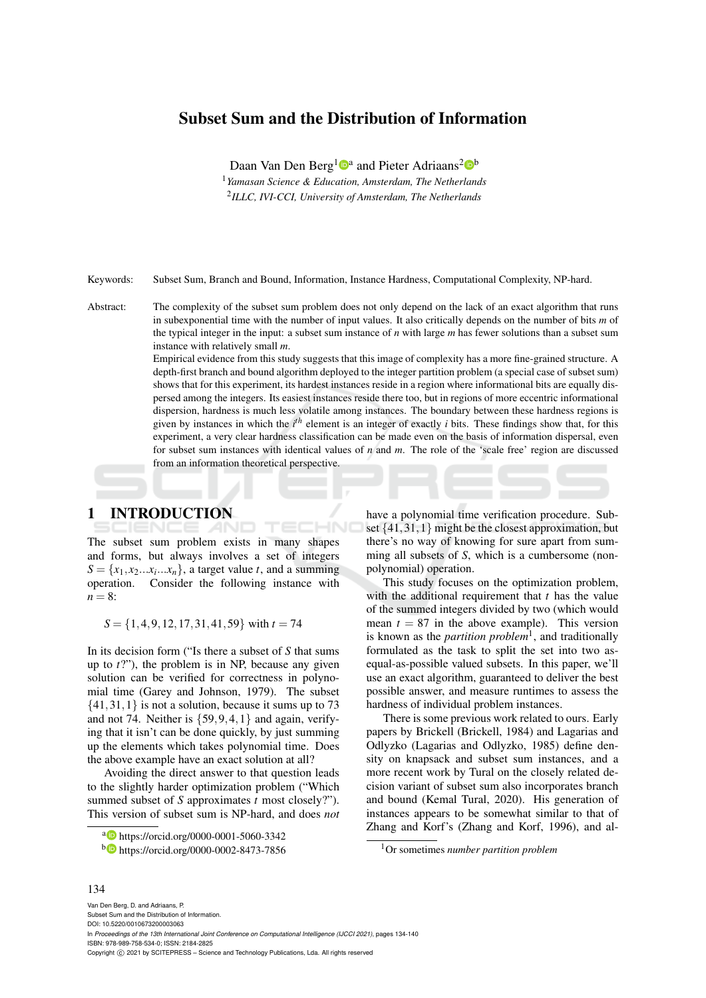# Subset Sum and the Distribution of Information

Daan Van Den Berg<sup>1</sup><sup>0</sup><sup>a</sup> and Pieter Adriaans<sup>2</sup><sup>0</sup><sup>b</sup> <sup>1</sup>*Yamasan Science & Education, Amsterdam, The Netherlands* 2 *ILLC, IVI-CCI, University of Amsterdam, The Netherlands*

Keywords: Subset Sum, Branch and Bound, Information, Instance Hardness, Computational Complexity, NP-hard.

HNC

Abstract: The complexity of the subset sum problem does not only depend on the lack of an exact algorithm that runs in subexponential time with the number of input values. It also critically depends on the number of bits *m* of the typical integer in the input: a subset sum instance of *n* with large *m* has fewer solutions than a subset sum instance with relatively small *m*.

> Empirical evidence from this study suggests that this image of complexity has a more fine-grained structure. A depth-first branch and bound algorithm deployed to the integer partition problem (a special case of subset sum) shows that for this experiment, its hardest instances reside in a region where informational bits are equally dispersed among the integers. Its easiest instances reside there too, but in regions of more eccentric informational dispersion, hardness is much less volatile among instances. The boundary between these hardness regions is given by instances in which the  $i^{th}$  element is an integer of exactly *i* bits. These findings show that, for this experiment, a very clear hardness classification can be made even on the basis of information dispersal, even for subset sum instances with identical values of *n* and *m*. The role of the 'scale free' region are discussed from an information theoretical perspective.

# 1 INTRODUCTION

The subset sum problem exists in many shapes and forms, but always involves a set of integers  $S = \{x_1, x_2 \dots x_i \dots x_n\}$ , a target value *t*, and a summing operation. Consider the following instance with  $n = 8$ :

*S* = {1,4,9,12,17,31,41,59} with *t* = 74

In its decision form ("Is there a subset of *S* that sums up to *t*?"), the problem is in NP, because any given solution can be verified for correctness in polynomial time (Garey and Johnson, 1979). The subset  $\{41,31,1\}$  is not a solution, because it sums up to 73 and not 74. Neither is  $\{59, 9, 4, 1\}$  and again, verifying that it isn't can be done quickly, by just summing up the elements which takes polynomial time. Does the above example have an exact solution at all?

Avoiding the direct answer to that question leads to the slightly harder optimization problem ("Which summed subset of *S* approximates *t* most closely?"). This version of subset sum is NP-hard, and does *not* have a polynomial time verification procedure. Subset  $\{41,31,1\}$  might be the closest approximation, but there's no way of knowing for sure apart from summing all subsets of *S*, which is a cumbersome (nonpolynomial) operation.

This study focuses on the optimization problem, with the additional requirement that *t* has the value of the summed integers divided by two (which would mean  $t = 87$  in the above example). This version is known as the *partition problem*<sup>1</sup> , and traditionally formulated as the task to split the set into two asequal-as-possible valued subsets. In this paper, we'll use an exact algorithm, guaranteed to deliver the best possible answer, and measure runtimes to assess the hardness of individual problem instances.

There is some previous work related to ours. Early papers by Brickell (Brickell, 1984) and Lagarias and Odlyzko (Lagarias and Odlyzko, 1985) define density on knapsack and subset sum instances, and a more recent work by Tural on the closely related decision variant of subset sum also incorporates branch and bound (Kemal Tural, 2020). His generation of instances appears to be somewhat similar to that of Zhang and Korf's (Zhang and Korf, 1996), and al-

#### 134

Van Den Berg, D. and Adriaans, P. Subset Sum and the Distribution of Information. DOI: 10.5220/0010673200003063 In *Proceedings of the 13th International Joint Conference on Computational Intelligence (IJCCI 2021)*, pages 134-140 ISBN: 978-989-758-534-0; ISSN: 2184-2825 Copyright (C) 2021 by SCITEPRESS - Science and Technology Publications, Lda. All rights reserved

a https://orcid.org/0000-0001-5060-3342

<sup>b</sup> https://orcid.org/0000-0002-8473-7856

<sup>1</sup>Or sometimes *number partition problem*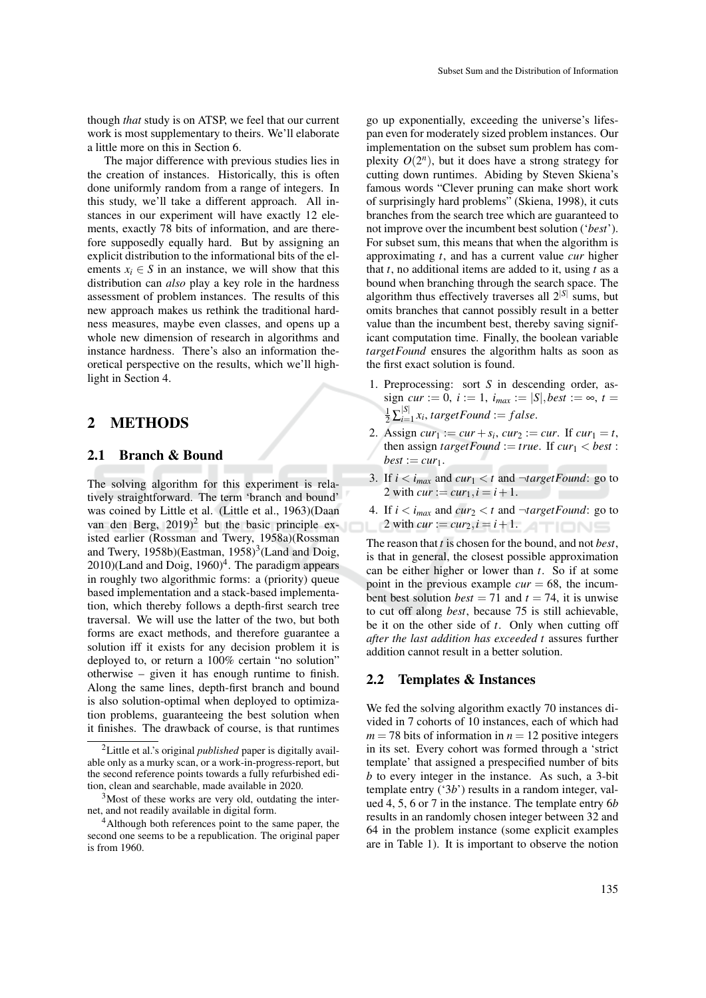The major difference with previous studies lies in the creation of instances. Historically, this is often done uniformly random from a range of integers. In this study, we'll take a different approach. All instances in our experiment will have exactly 12 elements, exactly 78 bits of information, and are therefore supposedly equally hard. But by assigning an explicit distribution to the informational bits of the elements  $x_i \in S$  in an instance, we will show that this distribution can *also* play a key role in the hardness assessment of problem instances. The results of this new approach makes us rethink the traditional hardness measures, maybe even classes, and opens up a whole new dimension of research in algorithms and instance hardness. There's also an information theoretical perspective on the results, which we'll highlight in Section 4.

# 2 METHODS

#### 2.1 Branch & Bound

The solving algorithm for this experiment is relatively straightforward. The term 'branch and bound' was coined by Little et al. (Little et al., 1963)(Daan van den Berg,  $2019)^2$  but the basic principle existed earlier (Rossman and Twery, 1958a)(Rossman and Twery,  $1958b$ )(Eastman,  $1958$ )<sup>3</sup>(Land and Doig,  $2010$ )(Land and Doig,  $1960$ )<sup>4</sup>. The paradigm appears in roughly two algorithmic forms: a (priority) queue based implementation and a stack-based implementation, which thereby follows a depth-first search tree traversal. We will use the latter of the two, but both forms are exact methods, and therefore guarantee a solution iff it exists for any decision problem it is deployed to, or return a 100% certain "no solution" otherwise – given it has enough runtime to finish. Along the same lines, depth-first branch and bound is also solution-optimal when deployed to optimization problems, guaranteeing the best solution when it finishes. The drawback of course, is that runtimes

go up exponentially, exceeding the universe's lifespan even for moderately sized problem instances. Our implementation on the subset sum problem has complexity  $O(2^n)$ , but it does have a strong strategy for cutting down runtimes. Abiding by Steven Skiena's famous words "Clever pruning can make short work of surprisingly hard problems" (Skiena, 1998), it cuts branches from the search tree which are guaranteed to not improve over the incumbent best solution ('*best*'). For subset sum, this means that when the algorithm is approximating *t*, and has a current value *cur* higher that *t*, no additional items are added to it, using *t* as a bound when branching through the search space. The algorithm thus effectively traverses all 2|*S*<sup>|</sup> sums, but omits branches that cannot possibly result in a better value than the incumbent best, thereby saving significant computation time. Finally, the boolean variable *targetFound* ensures the algorithm halts as soon as the first exact solution is found.

- 1. Preprocessing: sort *S* in descending order, as $sign \, cur := 0, \, i := 1, \, i_{max} := |S|, best := \infty, \, t =$  $\frac{1}{2} \sum_{i=1}^{|S|}$  $\sum_{i=1}^{|\mathcal{S}|} x_i$ , *targetFound* := *false*.
- 2. Assign *cur*<sub>1</sub> := *cur* + *s<sub>i</sub>*, *cur*<sub>2</sub> := *cur*. If *cur*<sub>1</sub> = *t*, then assign *targetFound* := *true*. If  $cur_1 < best$  :  $best := cur_1$ .
- 3. If  $i < i_{max}$  and  $cur_1 < t$  and  $\neg targetFound$ : go to 2 with  $cur := cur_1, i = i + 1$ .
- 4. If  $i < i_{max}$  and  $cur_2 < t$  and  $\neg targetFound$ : go to 2 with  $cur := cur_2, i = i + 1.$

The reason that *t* is chosen for the bound, and not *best*, is that in general, the closest possible approximation can be either higher or lower than *t*. So if at some point in the previous example  $cur = 68$ , the incumbent best solution *best* = 71 and  $t = 74$ , it is unwise to cut off along *best*, because 75 is still achievable, be it on the other side of *t*. Only when cutting off *after the last addition has exceeded t* assures further addition cannot result in a better solution.

### 2.2 Templates & Instances

We fed the solving algorithm exactly 70 instances divided in 7 cohorts of 10 instances, each of which had  $m = 78$  bits of information in  $n = 12$  positive integers in its set. Every cohort was formed through a 'strict template' that assigned a prespecified number of bits *b* to every integer in the instance. As such, a 3-bit template entry ('3*b*') results in a random integer, valued 4, 5, 6 or 7 in the instance. The template entry 6*b* results in an randomly chosen integer between 32 and 64 in the problem instance (some explicit examples are in Table 1). It is important to observe the notion

<sup>2</sup>Little et al.'s original *published* paper is digitally available only as a murky scan, or a work-in-progress-report, but the second reference points towards a fully refurbished edition, clean and searchable, made available in 2020.

 $3$ Most of these works are very old, outdating the internet, and not readily available in digital form.

<sup>4</sup>Although both references point to the same paper, the second one seems to be a republication. The original paper is from 1960.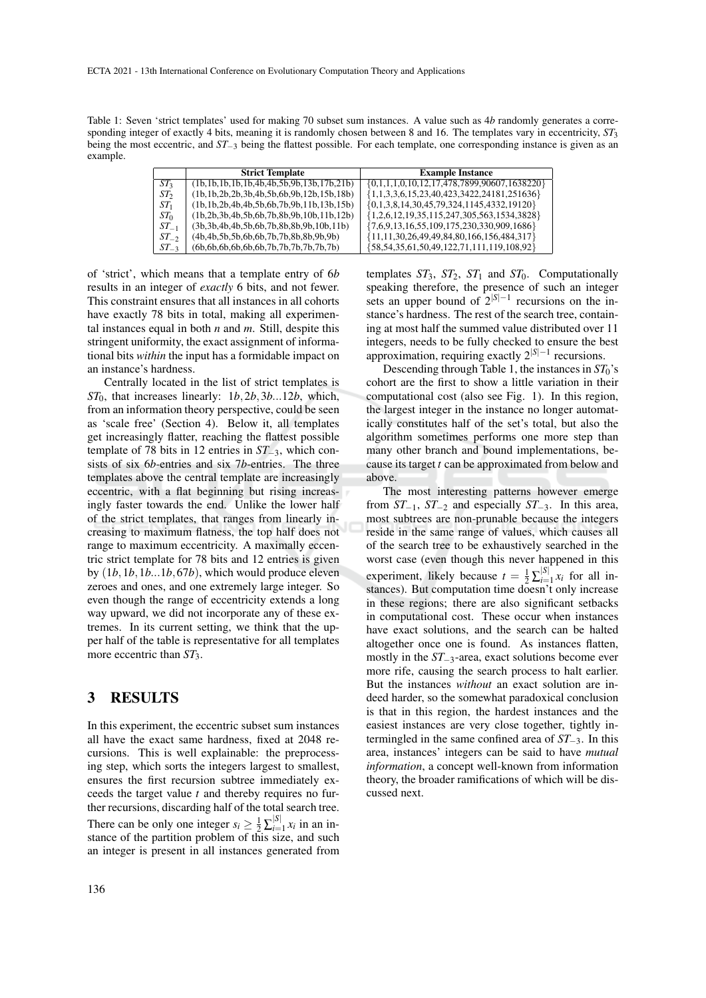Table 1: Seven 'strict templates' used for making 70 subset sum instances. A value such as 4*b* randomly generates a corresponding integer of exactly 4 bits, meaning it is randomly chosen between 8 and 16. The templates vary in eccentricity, *ST*<sup>3</sup> being the most eccentric, and *ST*−<sup>3</sup> being the flattest possible. For each template, one corresponding instance is given as an example.

|                 | <b>Strict Template</b>                                | <b>Example Instance</b>                                |
|-----------------|-------------------------------------------------------|--------------------------------------------------------|
| ST <sub>3</sub> | $(lb,1b,1b,1b,1b,4b,4b,5b,9b,13b,17b,21b)$            | $\{0,1,1,1,0,10,12,17,478,7899,90607,1638220\}$        |
| ST <sub>2</sub> | $(lb, 1b, 2b, 2b, 3b, 4b, 5b, 6b, 9b, 12b, 15b, 18b)$ | ${1,1,3,3,6,15,23,40,423,3422,24181,251636}$           |
| ST <sub>1</sub> | $(lb, 1b, 2b, 4b, 4b, 5b, 6b, 7b, 9b, 11b, 13b, 15b)$ | $\{0,1,3,8,14,30,45,79,324,1145,4332,19120\}$          |
| ST <sub>0</sub> | $(lb, 2b, 3b, 4b, 5b, 6b, 7b, 8b, 9b, 10b, 11b, 12b)$ | ${1,2,6,12,19,35,115,247,305,563,1534,3828}$           |
| $ST_{-1}$       | $(3b, 3b, 4b, 4b, 5b, 6b, 7b, 8b, 8b, 9b, 10b, 11b)$  | ${7,6,9,13,16,55,109,175,230,330,909,1686}$            |
| $ST_{-2}$       | $(4b, 4b, 5b, 5b, 6b, 6b, 7b, 7b, 8b, 8b, 9b, 9b)$    | ${11, 11, 30, 26, 49, 49, 84, 80, 166, 156, 484, 317}$ |
| $ST_{-3}$       | $(6b, 6b, 6b, 6b, 6b, 6b, 7b, 7b, 7b, 7b, 7b)$        | ${58,54,35,61,50,49,122,71,111,119,108,92}$            |

of 'strict', which means that a template entry of 6*b* results in an integer of *exactly* 6 bits, and not fewer. This constraint ensures that all instances in all cohorts have exactly 78 bits in total, making all experimental instances equal in both *n* and *m*. Still, despite this stringent uniformity, the exact assignment of informational bits *within* the input has a formidable impact on an instance's hardness.

Centrally located in the list of strict templates is *ST*0, that increases linearly: 1*b*,2*b*,3*b*...12*b*, which, from an information theory perspective, could be seen as 'scale free' (Section 4). Below it, all templates get increasingly flatter, reaching the flattest possible template of 78 bits in 12 entries in *ST*−3, which consists of six 6*b*-entries and six 7*b*-entries. The three templates above the central template are increasingly eccentric, with a flat beginning but rising increasingly faster towards the end. Unlike the lower half of the strict templates, that ranges from linearly increasing to maximum flatness, the top half does not range to maximum eccentricity. A maximally eccentric strict template for 78 bits and 12 entries is given by (1*b*,1*b*,1*b*...1*b*,67*b*), which would produce eleven zeroes and ones, and one extremely large integer. So even though the range of eccentricity extends a long way upward, we did not incorporate any of these extremes. In its current setting, we think that the upper half of the table is representative for all templates more eccentric than *ST*3.

### 3 RESULTS

In this experiment, the eccentric subset sum instances all have the exact same hardness, fixed at 2048 recursions. This is well explainable: the preprocessing step, which sorts the integers largest to smallest, ensures the first recursion subtree immediately exceeds the target value *t* and thereby requires no further recursions, discarding half of the total search tree. There can be only one integer  $s_i \geq \frac{1}{2} \sum_{i=1}^{|S|}$  $\prod_{i=1}^{|\mathcal{S}|} x_i$  in an instance of the partition problem of this size, and such an integer is present in all instances generated from

templates *ST*3, *ST*2, *ST*<sup>1</sup> and *ST*0. Computationally speaking therefore, the presence of such an integer sets an upper bound of  $2^{|S|-1}$  recursions on the instance's hardness. The rest of the search tree, containing at most half the summed value distributed over 11 integers, needs to be fully checked to ensure the best approximation, requiring exactly 2|*S*|−<sup>1</sup> recursions.

Descending through Table 1, the instances in *ST*0's cohort are the first to show a little variation in their computational cost (also see Fig. 1). In this region, the largest integer in the instance no longer automatically constitutes half of the set's total, but also the algorithm sometimes performs one more step than many other branch and bound implementations, because its target *t* can be approximated from below and above.

The most interesting patterns however emerge from *ST*−1, *ST*−<sup>2</sup> and especially *ST*−3. In this area, most subtrees are non-prunable because the integers reside in the same range of values, which causes all of the search tree to be exhaustively searched in the worst case (even though this never happened in this experiment, likely because  $t = \frac{1}{2} \sum_{i=1}^{|S|}$  $\prod_{i=1}^{|\mathcal{S}|} x_i$  for all instances). But computation time doesn't only increase in these regions; there are also significant setbacks in computational cost. These occur when instances have exact solutions, and the search can be halted altogether once one is found. As instances flatten, mostly in the *ST*−3-area, exact solutions become ever more rife, causing the search process to halt earlier. But the instances *without* an exact solution are indeed harder, so the somewhat paradoxical conclusion is that in this region, the hardest instances and the easiest instances are very close together, tightly intermingled in the same confined area of *ST*−3. In this area, instances' integers can be said to have *mutual information*, a concept well-known from information theory, the broader ramifications of which will be discussed next.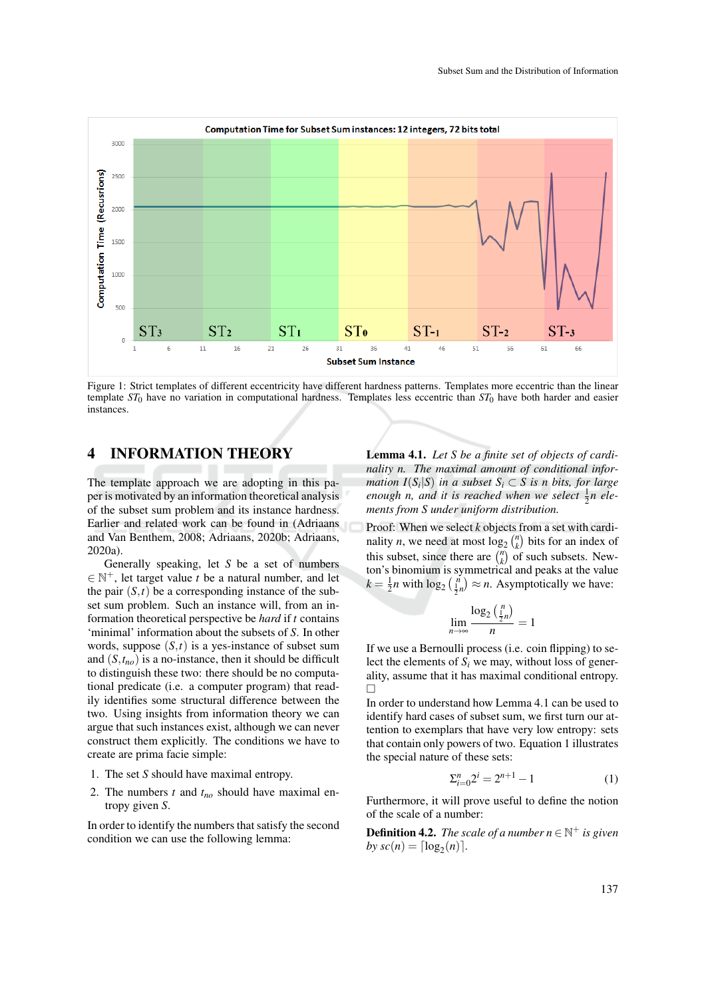

Figure 1: Strict templates of different eccentricity have different hardness patterns. Templates more eccentric than the linear template  $ST_0$  have no variation in computational hardness. Templates less eccentric than  $ST_0$  have both harder and easier instances.

## 4 INFORMATION THEORY

The template approach we are adopting in this paper is motivated by an information theoretical analysis of the subset sum problem and its instance hardness. Earlier and related work can be found in (Adriaans and Van Benthem, 2008; Adriaans, 2020b; Adriaans, 2020a).

Generally speaking, let *S* be a set of numbers  $\in \mathbb{N}^+$ , let target value *t* be a natural number, and let the pair  $(S,t)$  be a corresponding instance of the subset sum problem. Such an instance will, from an information theoretical perspective be *hard* if *t* contains 'minimal' information about the subsets of *S*. In other words, suppose  $(S,t)$  is a yes-instance of subset sum and  $(S, t_{no})$  is a no-instance, then it should be difficult to distinguish these two: there should be no computational predicate (i.e. a computer program) that readily identifies some structural difference between the two. Using insights from information theory we can argue that such instances exist, although we can never construct them explicitly. The conditions we have to create are prima facie simple:

- 1. The set *S* should have maximal entropy.
- 2. The numbers *t* and *tno* should have maximal entropy given *S*.

In order to identify the numbers that satisfy the second condition we can use the following lemma:

Lemma 4.1. *Let S be a finite set of objects of cardinality n. The maximal amount of conditional information I*( $S_i$ | $S$ ) *in a subset*  $S_i \subset S$  *is n bits, for large* enough *n*, and it is reached when we select  $\frac{1}{2}n$  ele*ments from S under uniform distribution.*

Proof: When we select *k* objects from a set with cardinality *n*, we need at most  $\log_2 {n \choose k}$  bits for an index of this subset, since there are  $\binom{n}{k}$  of such subsets. Newton's binomium is symmetrical and peaks at the value  $k = \frac{1}{2}n$  with  $\log_2(\frac{n}{2n}) \approx n$ . Asymptotically we have:

$$
\lim_{n \to \infty} \frac{\log_2\left(\frac{n}{2}n\right)}{n} = 1
$$

If we use a Bernoulli process (i.e. coin flipping) to select the elements of  $S_i$  we may, without loss of generality, assume that it has maximal conditional entropy.  $\Box$ 

In order to understand how Lemma 4.1 can be used to identify hard cases of subset sum, we first turn our attention to exemplars that have very low entropy: sets that contain only powers of two. Equation 1 illustrates the special nature of these sets:

$$
\Sigma_{i=0}^{n} 2^{i} = 2^{n+1} - 1 \tag{1}
$$

Furthermore, it will prove useful to define the notion of the scale of a number:

**Definition 4.2.** *The scale of a number*  $n \in \mathbb{N}^+$  *is given by*  $sc(n) = \lceil \log_2(n) \rceil$ *.*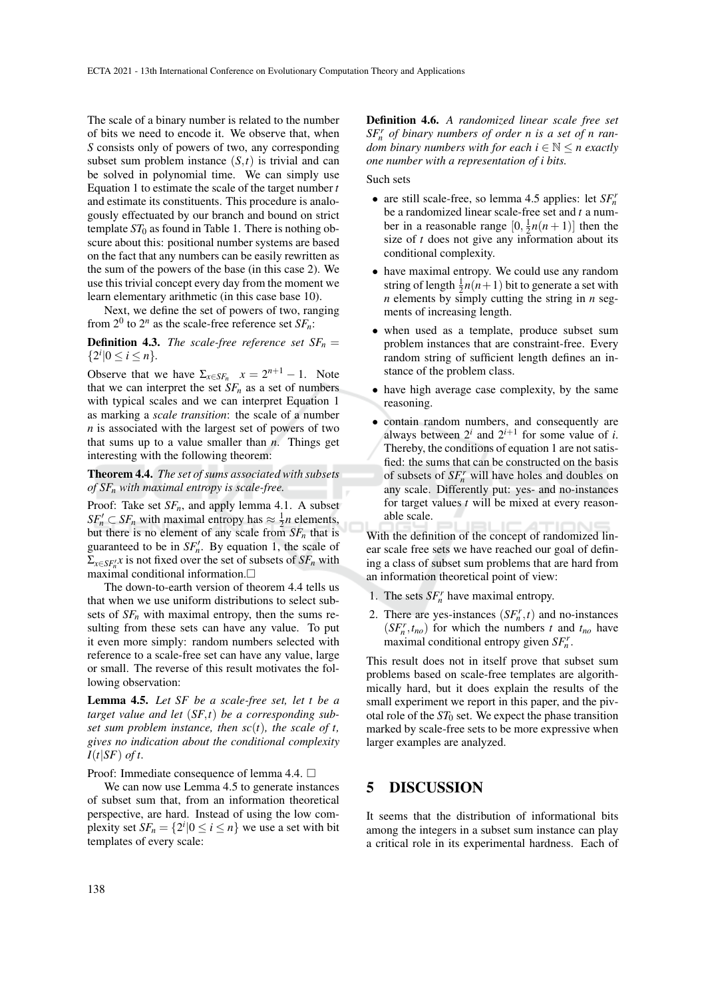The scale of a binary number is related to the number of bits we need to encode it. We observe that, when *S* consists only of powers of two, any corresponding subset sum problem instance  $(S,t)$  is trivial and can be solved in polynomial time. We can simply use Equation 1 to estimate the scale of the target number *t* and estimate its constituents. This procedure is analogously effectuated by our branch and bound on strict template  $ST_0$  as found in Table 1. There is nothing obscure about this: positional number systems are based on the fact that any numbers can be easily rewritten as the sum of the powers of the base (in this case 2). We use this trivial concept every day from the moment we learn elementary arithmetic (in this case base 10).

Next, we define the set of powers of two, ranging from  $2^0$  to  $2^n$  as the scale-free reference set  $SF_n$ :

**Definition 4.3.** *The scale-free reference set*  $SF_n =$  ${2^i | 0 \le i \le n}.$ 

Observe that we have  $\Sigma_{x \in SF_n}$   $x = 2^{n+1} - 1$ . Note that we can interpret the set  $SF_n$  as a set of numbers with typical scales and we can interpret Equation 1 as marking a *scale transition*: the scale of a number *n* is associated with the largest set of powers of two that sums up to a value smaller than *n*. Things get interesting with the following theorem:

Theorem 4.4. *The set of sums associated with subsets of SF<sup>n</sup> with maximal entropy is scale-free.*

Proof: Take set *SFn*, and apply lemma 4.1. A subset  $SF'_n \subset SF_n$  with maximal entropy has  $\approx \frac{1}{2}n$  elements, but there is no element of any scale from  $SF_n$  that is guaranteed to be in  $SF_n'$ . By equation 1, the scale of  $\Sigma_{x \in SF'_n}$ *x* is not fixed over the set of subsets of  $SF_n$  with maximal conditional information.

The down-to-earth version of theorem 4.4 tells us that when we use uniform distributions to select subsets of  $SF<sub>n</sub>$  with maximal entropy, then the sums resulting from these sets can have any value. To put it even more simply: random numbers selected with reference to a scale-free set can have any value, large or small. The reverse of this result motivates the following observation:

Lemma 4.5. *Let SF be a scale-free set, let t be a target value and let* (*SF*,*t*) *be a corresponding subset sum problem instance, then sc*(*t*)*, the scale of t, gives no indication about the conditional complexity I*(*t*|*SF*) *of t.*

Proof: Immediate consequence of lemma 4.4. □

We can now use Lemma 4.5 to generate instances of subset sum that, from an information theoretical perspective, are hard. Instead of using the low complexity set  $SF_n = \{2^i | 0 \le i \le n\}$  we use a set with bit templates of every scale:

Definition 4.6. *A randomized linear scale free set SF<sup>r</sup> <sup>n</sup> of binary numbers of order n is a set of n random binary numbers with for each i*  $\in \mathbb{N} \le n$  *exactly one number with a representation of i bits.*

Such sets

- are still scale-free, so lemma 4.5 applies: let *SF<sup>r</sup> n* be a randomized linear scale-free set and *t* a number in a reasonable range  $[0, \frac{1}{2}n(n+1)]$  then the size of *t* does not give any information about its conditional complexity.
- have maximal entropy. We could use any random string of length  $\frac{1}{2}n(n+1)$  bit to generate a set with *n* elements by simply cutting the string in *n* segments of increasing length.
- when used as a template, produce subset sum problem instances that are constraint-free. Every random string of sufficient length defines an instance of the problem class.
- have high average case complexity, by the same reasoning.
- contain random numbers, and consequently are always between  $2^{i}$  and  $2^{i+1}$  for some value of *i*. Thereby, the conditions of equation 1 are not satisfied: the sums that can be constructed on the basis of subsets of  $SF_n^r$  will have holes and doubles on any scale. Differently put: yes- and no-instances for target values *t* will be mixed at every reasonable scale.

With the definition of the concept of randomized linear scale free sets we have reached our goal of defining a class of subset sum problems that are hard from an information theoretical point of view:

- 1. The sets  $SF_n^r$  have maximal entropy.
- 2. There are yes-instances  $(SF_n^r, t)$  and no-instances  $(SF_n^r, t_{no})$  for which the numbers *t* and  $t_{no}$  have maximal conditional entropy given *SF<sup>r</sup> n* .

This result does not in itself prove that subset sum problems based on scale-free templates are algorithmically hard, but it does explain the results of the small experiment we report in this paper, and the pivotal role of the  $ST_0$  set. We expect the phase transition marked by scale-free sets to be more expressive when larger examples are analyzed.

### 5 DISCUSSION

It seems that the distribution of informational bits among the integers in a subset sum instance can play a critical role in its experimental hardness. Each of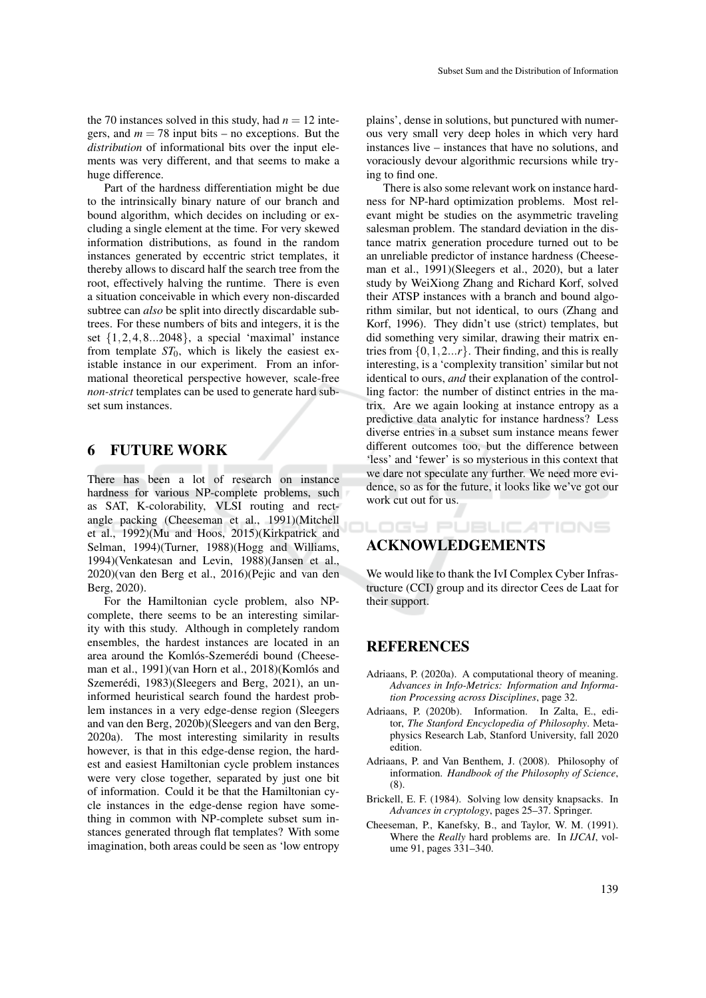the 70 instances solved in this study, had  $n = 12$  integers, and  $m = 78$  input bits – no exceptions. But the *distribution* of informational bits over the input elements was very different, and that seems to make a huge difference.

Part of the hardness differentiation might be due to the intrinsically binary nature of our branch and bound algorithm, which decides on including or excluding a single element at the time. For very skewed information distributions, as found in the random instances generated by eccentric strict templates, it thereby allows to discard half the search tree from the root, effectively halving the runtime. There is even a situation conceivable in which every non-discarded subtree can *also* be split into directly discardable subtrees. For these numbers of bits and integers, it is the set  $\{1,2,4,8...2048\}$ , a special 'maximal' instance from template  $ST_0$ , which is likely the easiest existable instance in our experiment. From an informational theoretical perspective however, scale-free *non-strict* templates can be used to generate hard subset sum instances.

### 6 FUTURE WORK

There has been a lot of research on instance hardness for various NP-complete problems, such as SAT, K-colorability, VLSI routing and rectangle packing (Cheeseman et al., 1991)(Mitchell et al., 1992)(Mu and Hoos, 2015)(Kirkpatrick and Selman, 1994)(Turner, 1988)(Hogg and Williams, 1994)(Venkatesan and Levin, 1988)(Jansen et al., 2020)(van den Berg et al., 2016)(Pejic and van den Berg, 2020).

For the Hamiltonian cycle problem, also NPcomplete, there seems to be an interesting similarity with this study. Although in completely random ensembles, the hardest instances are located in an area around the Komlós-Szemerédi bound (Cheeseman et al., 1991)(van Horn et al., 2018)(Komlós and Szemerédi, 1983)(Sleegers and Berg, 2021), an uninformed heuristical search found the hardest problem instances in a very edge-dense region (Sleegers and van den Berg, 2020b)(Sleegers and van den Berg, 2020a). The most interesting similarity in results however, is that in this edge-dense region, the hardest and easiest Hamiltonian cycle problem instances were very close together, separated by just one bit of information. Could it be that the Hamiltonian cycle instances in the edge-dense region have something in common with NP-complete subset sum instances generated through flat templates? With some imagination, both areas could be seen as 'low entropy plains', dense in solutions, but punctured with numerous very small very deep holes in which very hard instances live – instances that have no solutions, and voraciously devour algorithmic recursions while trying to find one.

There is also some relevant work on instance hardness for NP-hard optimization problems. Most relevant might be studies on the asymmetric traveling salesman problem. The standard deviation in the distance matrix generation procedure turned out to be an unreliable predictor of instance hardness (Cheeseman et al., 1991)(Sleegers et al., 2020), but a later study by WeiXiong Zhang and Richard Korf, solved their ATSP instances with a branch and bound algorithm similar, but not identical, to ours (Zhang and Korf, 1996). They didn't use (strict) templates, but did something very similar, drawing their matrix entries from  $\{0, 1, 2...r\}$ . Their finding, and this is really interesting, is a 'complexity transition' similar but not identical to ours, *and* their explanation of the controlling factor: the number of distinct entries in the matrix. Are we again looking at instance entropy as a predictive data analytic for instance hardness? Less diverse entries in a subset sum instance means fewer different outcomes too, but the difference between 'less' and 'fewer' is so mysterious in this context that we dare not speculate any further. We need more evidence, so as for the future, it looks like we've got our work cut out for us.

## ACKNOWLEDGEMENTS

We would like to thank the IvI Complex Cyber Infrastructure (CCI) group and its director Cees de Laat for their support.

**LOGY PUBLICATIONS** 

### **REFERENCES**

- Adriaans, P. (2020a). A computational theory of meaning. *Advances in Info-Metrics: Information and Information Processing across Disciplines*, page 32.
- Adriaans, P. (2020b). Information. In Zalta, E., editor, *The Stanford Encyclopedia of Philosophy*. Metaphysics Research Lab, Stanford University, fall 2020 edition.
- Adriaans, P. and Van Benthem, J. (2008). Philosophy of information. *Handbook of the Philosophy of Science*, (8).
- Brickell, E. F. (1984). Solving low density knapsacks. In *Advances in cryptology*, pages 25–37. Springer.
- Cheeseman, P., Kanefsky, B., and Taylor, W. M. (1991). Where the *Really* hard problems are. In *IJCAI*, volume 91, pages 331–340.